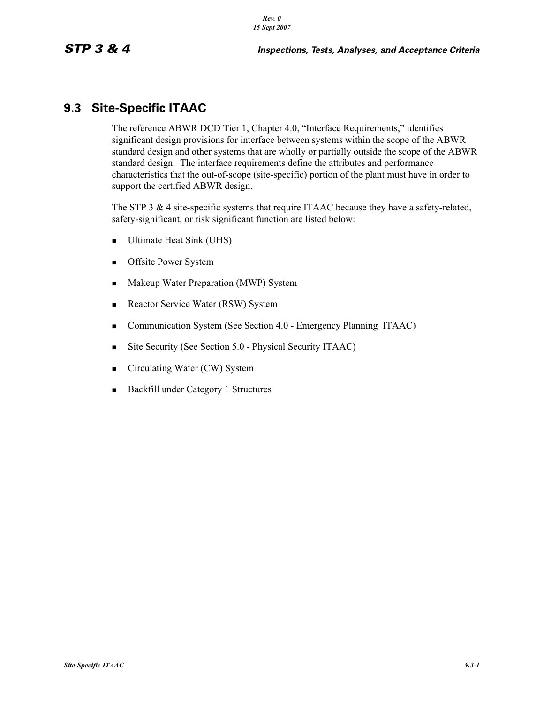## **9.3 Site-Specific ITAAC**

The reference ABWR DCD Tier 1, Chapter 4.0, "Interface Requirements," identifies significant design provisions for interface between systems within the scope of the ABWR standard design and other systems that are wholly or partially outside the scope of the ABWR standard design. The interface requirements define the attributes and performance characteristics that the out-of-scope (site-specific) portion of the plant must have in order to support the certified ABWR design.

The STP 3 & 4 site-specific systems that require ITAAC because they have a safety-related, safety-significant, or risk significant function are listed below:

- -Ultimate Heat Sink (UHS)
- -Offsite Power System
- -Makeup Water Preparation (MWP) System
- -Reactor Service Water (RSW) System
- -Communication System (See Section 4.0 - Emergency Planning ITAAC)
- -Site Security (See Section 5.0 - Physical Security ITAAC)
- -Circulating Water (CW) System
- -Backfill under Category 1 Structures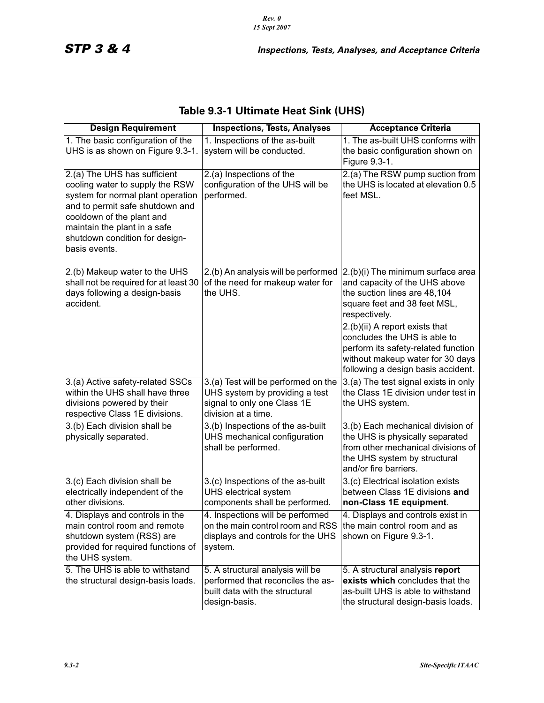| <b>Design Requirement</b>                                                                                                                                                                                                                               | <b>Inspections, Tests, Analyses</b>                                                                                         | <b>Acceptance Criteria</b>                                                                                                                                                                                                                                                                                                             |
|---------------------------------------------------------------------------------------------------------------------------------------------------------------------------------------------------------------------------------------------------------|-----------------------------------------------------------------------------------------------------------------------------|----------------------------------------------------------------------------------------------------------------------------------------------------------------------------------------------------------------------------------------------------------------------------------------------------------------------------------------|
| 1. The basic configuration of the                                                                                                                                                                                                                       | 1. Inspections of the as-built<br>1. The as-built UHS conforms with                                                         |                                                                                                                                                                                                                                                                                                                                        |
| UHS is as shown on Figure 9.3-1.                                                                                                                                                                                                                        | system will be conducted.<br>the basic configuration shown on<br>Figure 9.3-1.                                              |                                                                                                                                                                                                                                                                                                                                        |
| 2.(a) The UHS has sufficient<br>cooling water to supply the RSW<br>system for normal plant operation<br>and to permit safe shutdown and<br>cooldown of the plant and<br>maintain the plant in a safe<br>shutdown condition for design-<br>basis events. | 2.(a) Inspections of the<br>configuration of the UHS will be<br>performed.                                                  | 2.(a) The RSW pump suction from<br>the UHS is located at elevation 0.5<br>feet MSL.                                                                                                                                                                                                                                                    |
| 2.(b) Makeup water to the UHS<br>shall not be required for at least 30<br>days following a design-basis<br>accident.                                                                                                                                    | 2.(b) An analysis will be performed<br>of the need for makeup water for<br>the UHS.                                         | 2.(b)(i) The minimum surface area<br>and capacity of the UHS above<br>the suction lines are 48,104<br>square feet and 38 feet MSL,<br>respectively.<br>2.(b)(ii) A report exists that<br>concludes the UHS is able to<br>perform its safety-related function<br>without makeup water for 30 days<br>following a design basis accident. |
| 3.(a) Active safety-related SSCs<br>within the UHS shall have three<br>divisions powered by their<br>respective Class 1E divisions.                                                                                                                     | 3.(a) Test will be performed on the<br>UHS system by providing a test<br>signal to only one Class 1E<br>division at a time. | 3.(a) The test signal exists in only<br>the Class 1E division under test in<br>the UHS system.                                                                                                                                                                                                                                         |
| 3.(b) Each division shall be<br>physically separated.                                                                                                                                                                                                   | 3.(b) Inspections of the as-built<br>UHS mechanical configuration<br>shall be performed.                                    | 3.(b) Each mechanical division of<br>the UHS is physically separated<br>from other mechanical divisions of<br>the UHS system by structural<br>and/or fire barriers.                                                                                                                                                                    |
| 3.(c) Each division shall be<br>electrically independent of the<br>other divisions.                                                                                                                                                                     | 3.(c) Inspections of the as-built<br>UHS electrical system<br>components shall be performed.                                | 3.(c) Electrical isolation exists<br>between Class 1E divisions and<br>non-Class 1E equipment.                                                                                                                                                                                                                                         |
| 4. Displays and controls in the<br>main control room and remote<br>shutdown system (RSS) are<br>provided for required functions of<br>the UHS system.                                                                                                   | 4. Inspections will be performed<br>on the main control room and RSS<br>displays and controls for the UHS<br>system.        | 4. Displays and controls exist in<br>the main control room and as<br>shown on Figure 9.3-1.                                                                                                                                                                                                                                            |
| 5. The UHS is able to withstand<br>the structural design-basis loads.                                                                                                                                                                                   | 5. A structural analysis will be<br>performed that reconciles the as-<br>built data with the structural<br>design-basis.    | 5. A structural analysis report<br>exists which concludes that the<br>as-built UHS is able to withstand<br>the structural design-basis loads.                                                                                                                                                                                          |

### **Table 9.3-1 Ultimate Heat Sink (UHS)**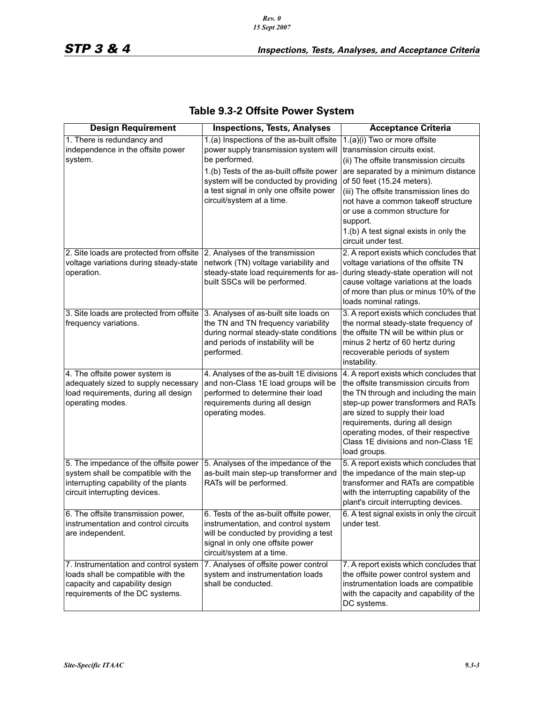*Rev. 0 15 Sept 2007*

| <b>Design Requirement</b>                                                                                                                              | <b>Inspections, Tests, Analyses</b>                                                                                                                                                                                                                               | <b>Acceptance Criteria</b>                                                                                                                                                                                                                                                                                                                                                  |
|--------------------------------------------------------------------------------------------------------------------------------------------------------|-------------------------------------------------------------------------------------------------------------------------------------------------------------------------------------------------------------------------------------------------------------------|-----------------------------------------------------------------------------------------------------------------------------------------------------------------------------------------------------------------------------------------------------------------------------------------------------------------------------------------------------------------------------|
| 1. There is redundancy and<br>independence in the offsite power<br>system.                                                                             | 1.(a) Inspections of the as-built offsite<br>power supply transmission system will<br>be performed.<br>1.(b) Tests of the as-built offsite power<br>system will be conducted by providing<br>a test signal in only one offsite power<br>circuit/system at a time. | 1.(a)(i) Two or more offsite<br>transmission circuits exist.<br>(ii) The offsite transmission circuits<br>are separated by a minimum distance<br>of 50 feet (15.24 meters).<br>(iii) The offsite transmission lines do<br>not have a common takeoff structure<br>or use a common structure for<br>support.<br>1.(b) A test signal exists in only the<br>circuit under test. |
| 2. Site loads are protected from offsite<br>voltage variations during steady-state<br>operation.                                                       | 2. Analyses of the transmission<br>network (TN) voltage variability and<br>steady-state load requirements for as-<br>built SSCs will be performed.                                                                                                                | 2. A report exists which concludes that<br>voltage variations of the offsite TN<br>during steady-state operation will not<br>cause voltage variations at the loads<br>of more than plus or minus 10% of the<br>loads nominal ratings.                                                                                                                                       |
| 3. Site loads are protected from offsite<br>frequency variations.                                                                                      | 3. Analyses of as-built site loads on<br>the TN and TN frequency variability<br>during normal steady-state conditions<br>and periods of instability will be<br>performed.                                                                                         | 3. A report exists which concludes that<br>the normal steady-state frequency of<br>the offsite TN will be within plus or<br>minus 2 hertz of 60 hertz during<br>recoverable periods of system<br>instability.                                                                                                                                                               |
| 4. The offsite power system is<br>adequately sized to supply necessary<br>load requirements, during all design<br>operating modes.                     | 4. Analyses of the as-built 1E divisions<br>and non-Class 1E load groups will be<br>performed to determine their load<br>requirements during all design<br>operating modes.                                                                                       | 4. A report exists which concludes that<br>the offsite transmission circuits from<br>the TN through and including the main<br>step-up power transformers and RATs<br>are sized to supply their load<br>requirements, during all design<br>operating modes, of their respective<br>Class 1E divisions and non-Class 1E<br>load groups.                                       |
| 5. The impedance of the offsite power<br>system shall be compatible with the<br>interrupting capability of the plants<br>circuit interrupting devices. | 5. Analyses of the impedance of the<br>as-built main step-up transformer and<br>RATs will be performed.                                                                                                                                                           | 5. A report exists which concludes that<br>the impedance of the main step-up<br>transformer and RATs are compatible<br>with the interrupting capability of the<br>plant's circuit interrupting devices.                                                                                                                                                                     |
| 6. The offsite transmission power,<br>instrumentation and control circuits<br>are independent.                                                         | 6. Tests of the as-built offsite power,<br>instrumentation, and control system<br>will be conducted by providing a test<br>signal in only one offsite power<br>circuit/system at a time.                                                                          | 6. A test signal exists in only the circuit<br>under test.                                                                                                                                                                                                                                                                                                                  |
| 7. Instrumentation and control system<br>loads shall be compatible with the<br>capacity and capability design<br>requirements of the DC systems.       | 7. Analyses of offsite power control<br>system and instrumentation loads<br>shall be conducted.                                                                                                                                                                   | 7. A report exists which concludes that<br>the offsite power control system and<br>instrumentation loads are compatible<br>with the capacity and capability of the<br>DC systems.                                                                                                                                                                                           |

# **Table 9.3-2 Offsite Power System**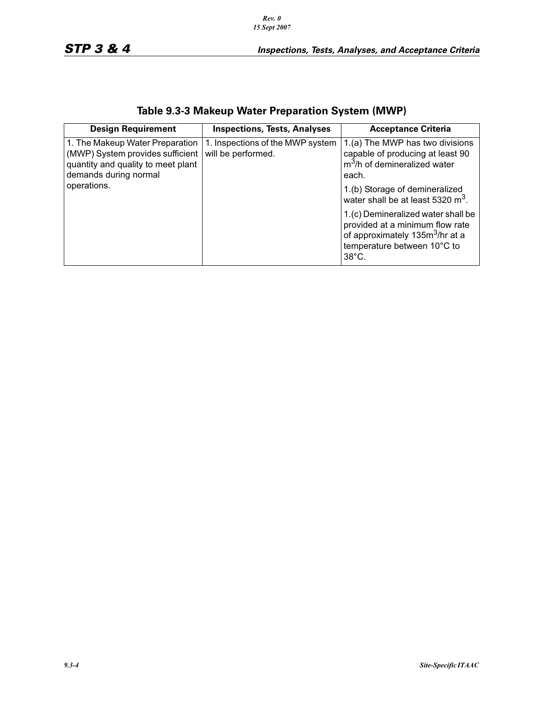*Rev. 0 15 Sept 2007*

| <b>Design Requirement</b>                                                                                                          | <b>Inspections, Tests, Analyses</b>                    | <b>Acceptance Criteria</b>                                                                                                                                             |
|------------------------------------------------------------------------------------------------------------------------------------|--------------------------------------------------------|------------------------------------------------------------------------------------------------------------------------------------------------------------------------|
| 1. The Makeup Water Preparation<br>(MWP) System provides sufficient<br>quantity and quality to meet plant<br>demands during normal | 1. Inspections of the MWP system<br>will be performed. | 1.(a) The MWP has two divisions<br>capable of producing at least 90<br>$m3/h$ of demineralized water<br>each.                                                          |
| operations.                                                                                                                        |                                                        | 1.(b) Storage of demineralized<br>water shall be at least 5320 m <sup>3</sup> .                                                                                        |
|                                                                                                                                    |                                                        | 1.(c) Demineralized water shall be<br>provided at a minimum flow rate<br>of approximately 135m <sup>3</sup> /hr at a<br>temperature between 10°C to<br>$38^{\circ}$ C. |

# **Table 9.3-3 Makeup Water Preparation System (MWP)**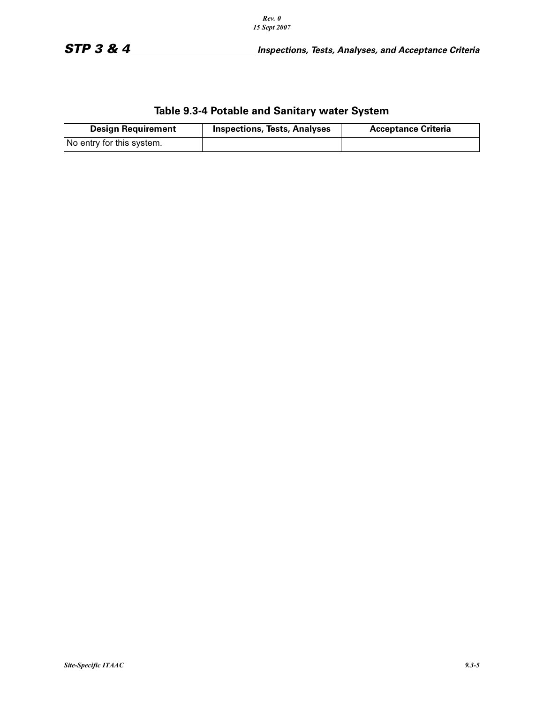|  | Table 9.3-4 Potable and Sanitary water System |
|--|-----------------------------------------------|
|--|-----------------------------------------------|

| <b>Design Requirement</b> | <b>Inspections, Tests, Analyses</b> | <b>Acceptance Criteria</b> |
|---------------------------|-------------------------------------|----------------------------|
| No entry for this system. |                                     |                            |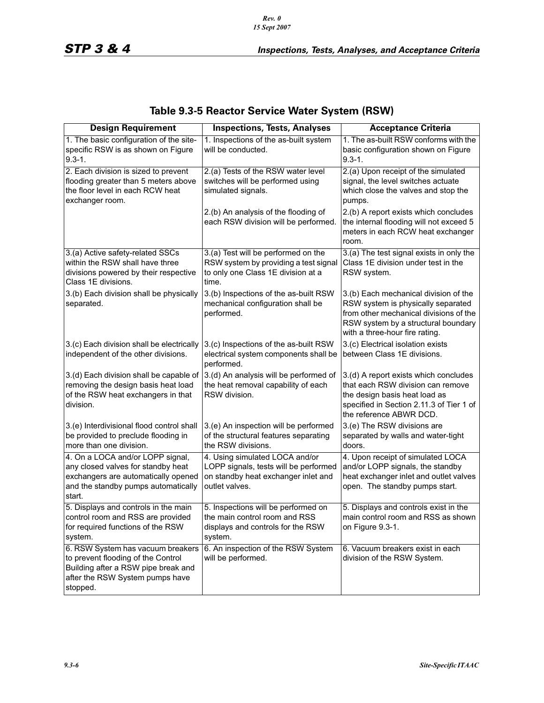| <b>Design Requirement</b>                                                                                                                                      | <b>Inspections, Tests, Analyses</b>                                                                                                                       | <b>Acceptance Criteria</b>                                                                                                                                                                     |  |
|----------------------------------------------------------------------------------------------------------------------------------------------------------------|-----------------------------------------------------------------------------------------------------------------------------------------------------------|------------------------------------------------------------------------------------------------------------------------------------------------------------------------------------------------|--|
| 1. The basic configuration of the site-<br>specific RSW is as shown on Figure<br>$9.3 - 1.$                                                                    | 1. Inspections of the as-built system<br>1. The as-built RSW conforms with the<br>will be conducted.<br>basic configuration shown on Figure<br>$9.3 - 1.$ |                                                                                                                                                                                                |  |
| 2. Each division is sized to prevent<br>flooding greater than 5 meters above<br>the floor level in each RCW heat<br>exchanger room.                            | 2.(a) Tests of the RSW water level<br>switches will be performed using<br>simulated signals.                                                              | 2.(a) Upon receipt of the simulated<br>signal, the level switches actuate<br>which close the valves and stop the<br>pumps.                                                                     |  |
|                                                                                                                                                                | 2.(b) An analysis of the flooding of<br>each RSW division will be performed.                                                                              | 2.(b) A report exists which concludes<br>the internal flooding will not exceed 5<br>meters in each RCW heat exchanger<br>room.                                                                 |  |
| 3.(a) Active safety-related SSCs                                                                                                                               | 3.(a) Test will be performed on the                                                                                                                       | 3.(a) The test signal exists in only the                                                                                                                                                       |  |
| within the RSW shall have three<br>divisions powered by their respective<br>Class 1E divisions.                                                                | RSW system by providing a test signal<br>to only one Class 1E division at a<br>time.                                                                      | Class 1E division under test in the<br>RSW system.                                                                                                                                             |  |
| 3.(b) Each division shall be physically<br>separated.                                                                                                          | 3.(b) Inspections of the as-built RSW<br>mechanical configuration shall be<br>performed.                                                                  | 3.(b) Each mechanical division of the<br>RSW system is physically separated<br>from other mechanical divisions of the<br>RSW system by a structural boundary<br>with a three-hour fire rating. |  |
| 3.(c) Each division shall be electrically<br>independent of the other divisions.                                                                               | 3.(c) Inspections of the as-built RSW<br>electrical system components shall be<br>performed.                                                              | 3.(c) Electrical isolation exists<br>between Class 1E divisions.                                                                                                                               |  |
| 3.(d) Each division shall be capable of<br>removing the design basis heat load<br>of the RSW heat exchangers in that<br>division.                              | 3.(d) An analysis will be performed of<br>the heat removal capability of each<br>RSW division.                                                            | 3.(d) A report exists which concludes<br>that each RSW division can remove<br>the design basis heat load as<br>specified in Section 2.11.3 of Tier 1 of<br>the reference ABWR DCD.             |  |
| 3.(e) Interdivisional flood control shall<br>be provided to preclude flooding in<br>more than one division.                                                    | 3.(e) An inspection will be performed<br>of the structural features separating<br>the RSW divisions.                                                      | 3.(e) The RSW divisions are<br>separated by walls and water-tight<br>doors.                                                                                                                    |  |
| 4. On a LOCA and/or LOPP signal,<br>any closed valves for standby heat<br>exchangers are automatically opened<br>and the standby pumps automatically<br>start. | 4. Using simulated LOCA and/or<br>LOPP signals, tests will be performed<br>on standby heat exchanger inlet and<br>outlet valves.                          | 4. Upon receipt of simulated LOCA<br>and/or LOPP signals, the standby<br>heat exchanger inlet and outlet valves<br>open. The standby pumps start.                                              |  |
| 5. Displays and controls in the main<br>control room and RSS are provided<br>for required functions of the RSW<br>system.                                      | 5. Inspections will be performed on<br>the main control room and RSS<br>displays and controls for the RSW<br>system.                                      | 5. Displays and controls exist in the<br>main control room and RSS as shown<br>on Figure 9.3-1.                                                                                                |  |
| 6. RSW System has vacuum breakers<br>to prevent flooding of the Control<br>Building after a RSW pipe break and<br>after the RSW System pumps have<br>stopped.  | 6. An inspection of the RSW System<br>will be performed.                                                                                                  | 6. Vacuum breakers exist in each<br>division of the RSW System.                                                                                                                                |  |

## **Table 9.3-5 Reactor Service Water System (RSW)**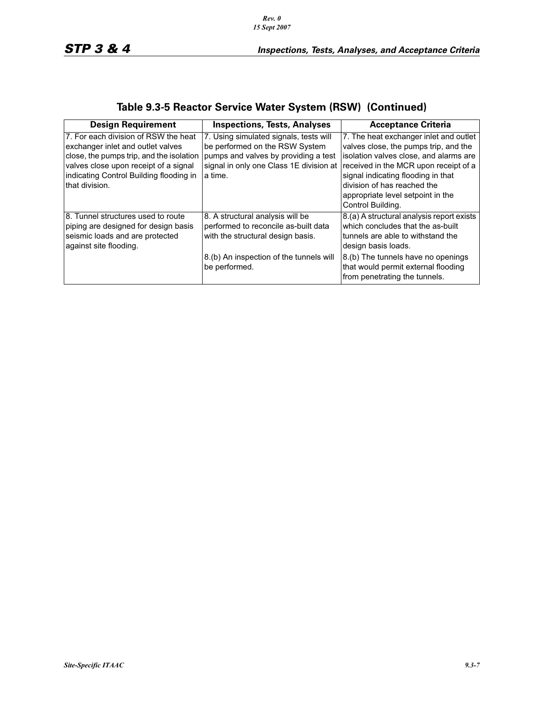| <b>Design Requirement</b>                                                                                                                                                                                                    | <b>Inspections, Tests, Analyses</b>                                                                                                                                       | <b>Acceptance Criteria</b>                                                                                                                                                                                                                                                                                                                |
|------------------------------------------------------------------------------------------------------------------------------------------------------------------------------------------------------------------------------|---------------------------------------------------------------------------------------------------------------------------------------------------------------------------|-------------------------------------------------------------------------------------------------------------------------------------------------------------------------------------------------------------------------------------------------------------------------------------------------------------------------------------------|
| 7. For each division of RSW the heat<br>exchanger inlet and outlet valves<br>close, the pumps trip, and the isolation<br>valves close upon receipt of a signal<br>indicating Control Building flooding in<br>Ithat division. | 7. Using simulated signals, tests will<br>be performed on the RSW System<br>pumps and valves by providing a test<br>a time.                                               | 7. The heat exchanger inlet and outlet<br>valves close, the pumps trip, and the<br>isolation valves close, and alarms are<br>signal in only one Class 1E division at received in the MCR upon receipt of a<br>signal indicating flooding in that<br>division of has reached the<br>appropriate level setpoint in the<br>Control Building. |
| I8. Tunnel structures used to route<br>piping are designed for design basis<br>seismic loads and are protected<br>against site flooding.                                                                                     | 8. A structural analysis will be<br>performed to reconcile as-built data<br>with the structural design basis.<br>8.(b) An inspection of the tunnels will<br>be performed. | 8.(a) A structural analysis report exists<br>which concludes that the as-built<br>tunnels are able to withstand the<br>design basis loads.<br>8.(b) The tunnels have no openings<br>that would permit external flooding<br>from penetrating the tunnels.                                                                                  |

### **Table 9.3-5 Reactor Service Water System (RSW) (Continued)**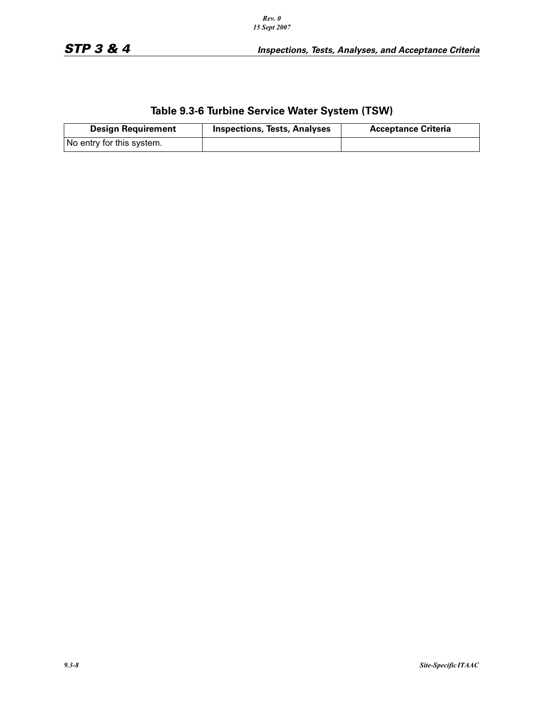# **Table 9.3-6 Turbine Service Water System (TSW)**

| <b>Design Requirement</b> | <b>Inspections, Tests, Analyses</b> | <b>Acceptance Criteria</b> |
|---------------------------|-------------------------------------|----------------------------|
| No entry for this system. |                                     |                            |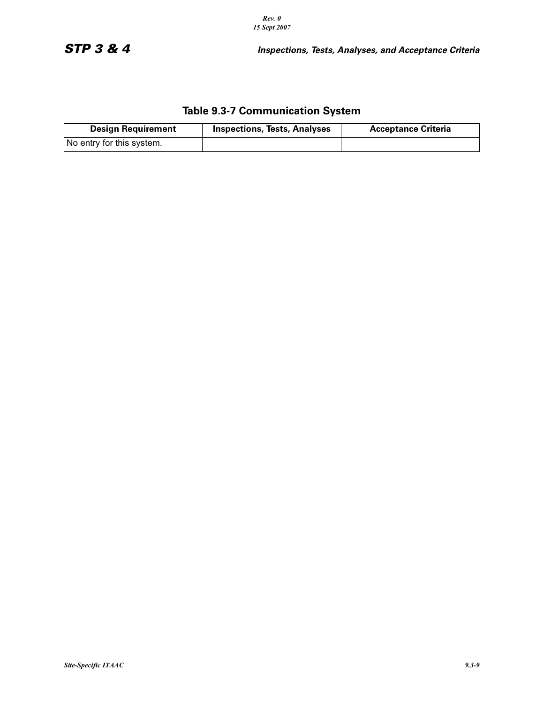### **Table 9.3-7 Communication System**

| <b>Design Requirement</b> | <b>Inspections, Tests, Analyses</b> | <b>Acceptance Criteria</b> |
|---------------------------|-------------------------------------|----------------------------|
| No entry for this system. |                                     |                            |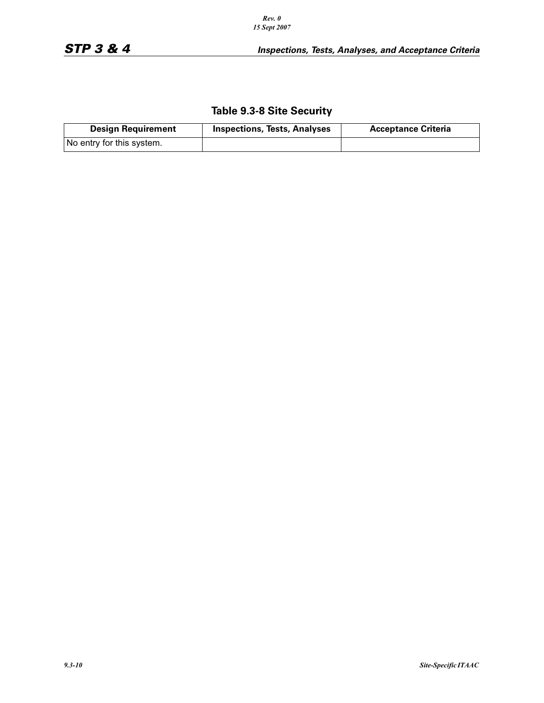### **Table 9.3-8 Site Security**

| <b>Design Requirement</b> | <b>Inspections, Tests, Analyses</b> | <b>Acceptance Criteria</b> |
|---------------------------|-------------------------------------|----------------------------|
| No entry for this system. |                                     |                            |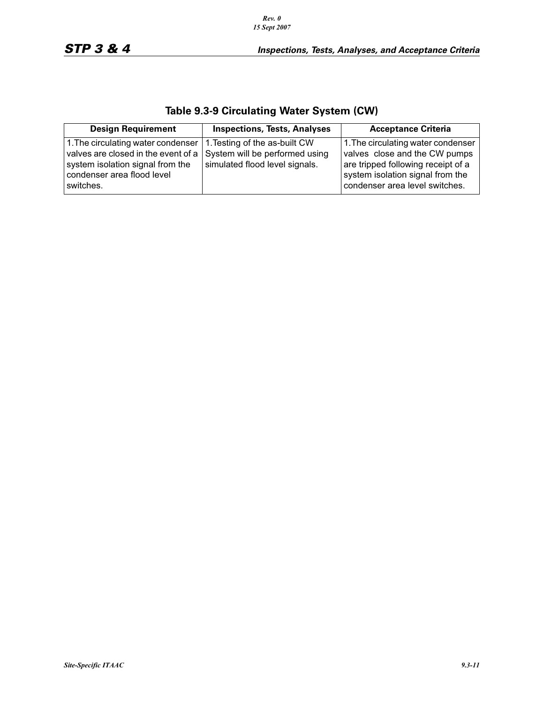|  | Table 9.3-9 Circulating Water System (CW) |  |  |  |
|--|-------------------------------------------|--|--|--|
|--|-------------------------------------------|--|--|--|

| <b>Design Requirement</b>                                                                                                                                                                                                       | <b>Inspections, Tests, Analyses</b> | <b>Acceptance Criteria</b>                                                                                                                                                      |
|---------------------------------------------------------------------------------------------------------------------------------------------------------------------------------------------------------------------------------|-------------------------------------|---------------------------------------------------------------------------------------------------------------------------------------------------------------------------------|
| 1. The circulating water condenser   1. Testing of the as-built CW<br>valves are closed in the event of a $\vert$ System will be performed using<br>system isolation signal from the<br>condenser area flood level<br>switches. | simulated flood level signals.      | 1. The circulating water condenser<br>valves close and the CW pumps<br>are tripped following receipt of a<br>system isolation signal from the<br>condenser area level switches. |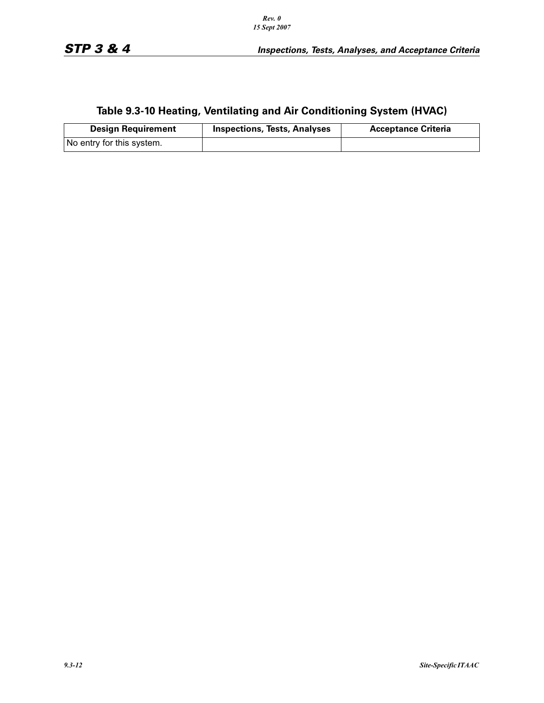# **Table 9.3-10 Heating, Ventilating and Air Conditioning System (HVAC)**

| <b>Design Requirement</b> | <b>Inspections, Tests, Analyses</b> | <b>Acceptance Criteria</b> |
|---------------------------|-------------------------------------|----------------------------|
| No entry for this system. |                                     |                            |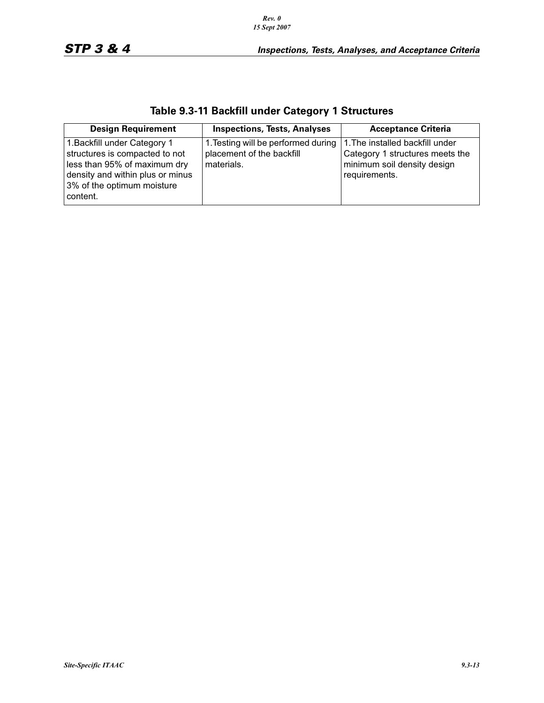*Rev. 0 15 Sept 2007*

content.

| <b>Design Requirement</b>        | <b>Inspections, Tests, Analyses</b> | <b>Acceptance Criteria</b>      |
|----------------------------------|-------------------------------------|---------------------------------|
| 1. Backfill under Category 1     | 1. Testing will be performed during | 1. The installed backfill under |
| structures is compacted to not   | placement of the backfill           | Category 1 structures meets the |
| less than 95% of maximum dry     | materials.                          | minimum soil density design     |
| density and within plus or minus |                                     | requirements.                   |
| 3% of the optimum moisture       |                                     |                                 |

### **Table 9.3-11 Backfill under Category 1 Structures**